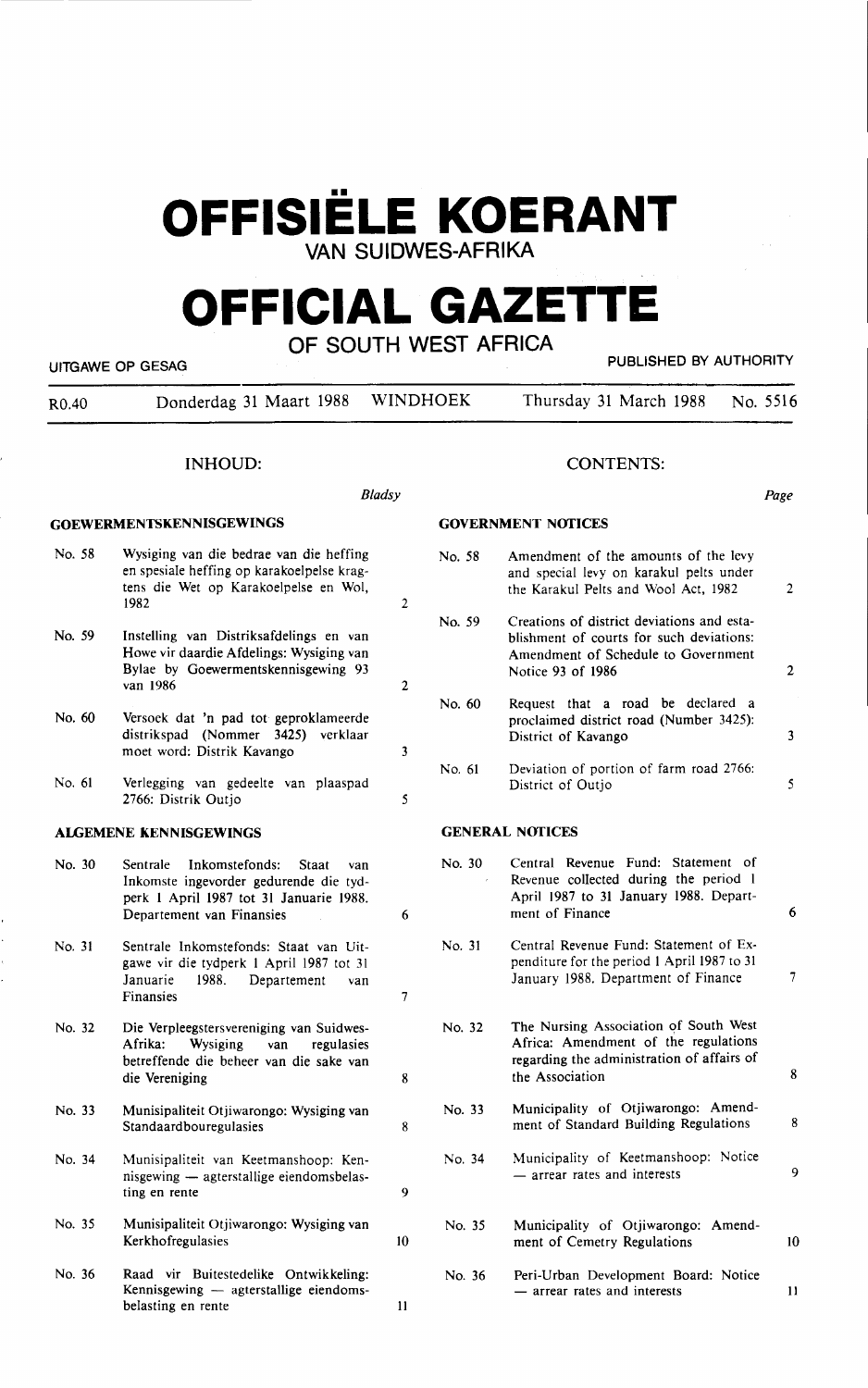# **OFFISIELE KOERANT**

**VAN SUIDWES-AFRlKA** 

# **OFFICIAL GAZETTE**

| OF SOUTH WEST AFRICA<br>PUBLISHED BY AUTHORITY<br>UITGAWE OP GESAG |                                                                                                                                                              |                |        |                                                                                                                                                    |                |  |
|--------------------------------------------------------------------|--------------------------------------------------------------------------------------------------------------------------------------------------------------|----------------|--------|----------------------------------------------------------------------------------------------------------------------------------------------------|----------------|--|
| R0.40                                                              | Donderdag 31 Maart 1988                                                                                                                                      | WINDHOEK       |        | Thursday 31 March 1988                                                                                                                             | No. 5516       |  |
|                                                                    | <b>INHOUD:</b>                                                                                                                                               |                |        | <b>CONTENTS:</b>                                                                                                                                   |                |  |
|                                                                    |                                                                                                                                                              | <b>Bladsy</b>  |        |                                                                                                                                                    | Page           |  |
|                                                                    | <b>GOEWERMENTSKENNISGEWINGS</b>                                                                                                                              |                |        | <b>GOVERNMENT NOTICES</b>                                                                                                                          |                |  |
| No. 58                                                             | Wysiging van die bedrae van die heffing<br>en spesiale heffing op karakoelpelse krag-<br>tens die Wet op Karakoelpelse en Wol,<br>1982                       | $\overline{2}$ | No. 58 | Amendment of the amounts of the levy<br>and special levy on karakul pelts under<br>the Karakul Pelts and Wool Act, 1982                            | $\overline{2}$ |  |
| No. 59                                                             | Instelling van Distriksafdelings en van<br>Howe vir daardie Afdelings: Wysiging van<br>Bylae by Goewermentskennisgewing 93<br>van 1986                       | $\overline{2}$ | No. 59 | Creations of district deviations and esta-<br>blishment of courts for such deviations:<br>Amendment of Schedule to Government<br>Notice 93 of 1986 | $\mathbf{2}$   |  |
| No. 60                                                             | Versoek dat 'n pad tot geproklameerde<br>distrikspad (Nommer 3425) verklaar<br>moet word: Distrik Kavango                                                    | 3              | No. 60 | Request that a road be declared a<br>proclaimed district road (Number 3425):<br>District of Kavango                                                | 3              |  |
| No. 61                                                             | Verlegging van gedeelte van plaaspad<br>2766: Distrik Outjo                                                                                                  | 5              | No. 61 | Deviation of portion of farm road 2766:<br>District of Outjo                                                                                       | 5              |  |
|                                                                    | <b>ALGEMENE KENNISGEWINGS</b>                                                                                                                                |                |        | <b>GENERAL NOTICES</b>                                                                                                                             |                |  |
| No. 30                                                             | Sentrale<br>Inkomstefonds:<br>Staat<br>van<br>Inkomste ingevorder gedurende die tyd-<br>perk 1 April 1987 tot 31 Januarie 1988.<br>Departement van Finansies | 6              | No. 30 | Central Revenue Fund: Statement of<br>Revenue collected during the period 1<br>April 1987 to 31 January 1988. Depart-<br>ment of Finance           | 6              |  |
| No. 31                                                             | Sentrale Inkomstefonds: Staat van Uit-<br>gawe vir die tydperk 1 April 1987 tot 31<br>1988.<br>Januarie<br>Departement<br>van<br>Finansies                   | $\overline{7}$ | No. 31 | Central Revenue Fund: Statement of Ex-<br>penditure for the period 1 April 1987 to 31<br>January 1988. Department of Finance                       | 7              |  |
| No. 32                                                             | Die Verpleegstersvereniging van Suidwes-<br>Afrika:<br>Wysiging<br>regulasies<br>van<br>betreffende die beheer van die sake van<br>die Vereniging            | 8              | No. 32 | The Nursing Association of South West<br>Africa: Amendment of the regulations<br>regarding the administration of affairs of<br>the Association     | 8              |  |
| No. 33                                                             | Munisipaliteit Otjiwarongo: Wysiging van<br>Standaardbouregulasies                                                                                           | 8              | No. 33 | Municipality of Otjiwarongo: Amend-<br>ment of Standard Building Regulations                                                                       | 8              |  |
| No. 34                                                             | Munisipaliteit van Keetmanshoop: Ken-<br>nisgewing - agterstallige eiendomsbelas-<br>ting en rente                                                           | 9              | No. 34 | Municipality of Keetmanshoop: Notice<br>- arrear rates and interests                                                                               | 9              |  |
| No. 35                                                             | Munisipaliteit Otjiwarongo: Wysiging van<br>Kerkhofregulasies                                                                                                | 10             | No. 35 | Municipality of Otjiwarongo: Amend-<br>ment of Cemetry Regulations                                                                                 | 10             |  |
| No. 36                                                             | Raad vir Buitestedelike Ontwikkeling:<br>Kennisgewing — agterstallige eiendoms-<br>belasting en rente                                                        | 11             | No. 36 | Peri-Urban Development Board: Notice<br>- arrear rates and interests                                                                               | 11             |  |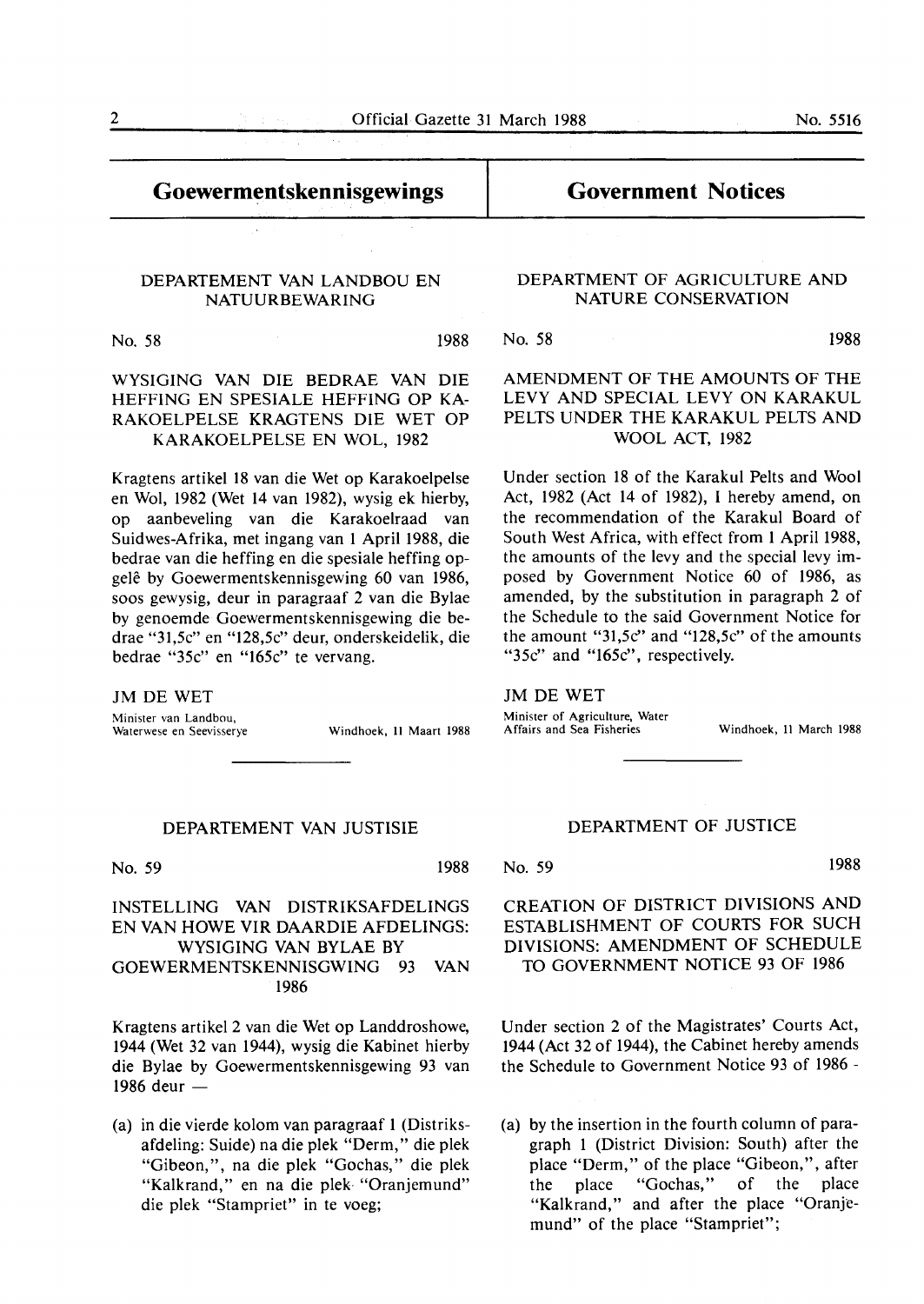### **Goewermentskennisgewings**

# **Government Notices**

### DEPARTEMENT VAN LANDBOU EN NATUURBEWARING

No. 58 1988

WYSIGING VAN DIE BEDRAE VAN DIE HEFFING EN SPESIALE HEFFING OP KA-RAKOELPELSE KRAGTENS DIE WET OP KARAKOELPELSE EN WOL, 1982

Kragtens artikel 18 van die Wet op Karakoelpelse en Wol, 1982 (Wet 14 van 1982), wysig ek hierby, op aanbeveling van die Karakoelraad van Suidwes-Afrika, met ingang van 1 April **1988,** die bedrae van die heffing en die spesiale heffing opgelê by Goewermentskennisgewing 60 van 1986, soos gewysig, deur in paragraaf 2 van die Bylae by genoemde Goewermentskennisgewing die bedrae "31,5c" en "128,5c" deur, onderskeidelik, die bedrae "35c" en "165c" te vervang.

JM DE **WET**  Minister van Landbou,<br>Waterwese en Seevisserye

Windhoek, 11 Maart 1988

### DEPARTEMENT VAN JUSTISIE

No. 59 1988

### INSTELLING **VAN** DISTRIKSAFDELINGS EN VAN HOWE VIR DAARDIE AFDELINGS: WYSIGING VAN BYLAE BY GOEWERMENTSKENNISGWING 93 VAN 1986

Kragtens artikel 2 van die Wet op Landdroshowe, 1944 (Wet 32 van 1944), wysig die Kabinet hierby die Bylae by Goewermentskennisgewing 93 van 1986 deur  $-$ 

(a) in die vierde kolom van paragraaf 1 (Distriksafdeling: Suide) na die plek "Derm," die plek "Gibeon,", na die plek "Gochas," die plek "Kalkrand," en na die plek "Oranjemund" die plek "Stampriet" in te voeg;

### **DEPARTMENT OF AGRICULTURE AND NATURE CONSERVATION**

No. 58 **1988** 

**AMENDMENT OF THE AMOUNTS OF THE LEVY AND SPECIAL LEVY ON KARAKUL PELTS UNDER** THE **KARAKUL** PELTS AND **WOOL ACT, 1982** 

Under section 18 of the Karakul Pelts and Wool Act, 1982 (Act 14 of 1982), I hereby amend, on the recommendation of the Karakul Board of South West Africa, with effect from 1 April 1988, the amounts of the levy and the special levy imposed by Government Notice 60 of 1986, as amended, by the substitution in paragraph 2 of the Schedule to the said Government Notice for the amount "31,5c" and "128,5c" of the amounts "35c" and "165c", respectively.

JM DE **WET** 

Minister of Agriculture, Water<br>Affairs and Sea Fisheries

Windhoek, 11 March 1988

### DEPARTMENT OF JUSTICE

No. 59 **1988** 

### CREATION OF DISTRICT DIVISIONS **AND**  ESTABLISHMENT OF COURTS FOR SUCH DIVISIONS: AMENDMENT OF SCHEDULE TO GOVERNMENT NOTICE 93 OF 1986

Under section 2 of the Magistrates' Courts Act, 1944 (Act 32 of 1944), the Cabinet hereby amends the Schedule to Government Notice 93 of 1986 -

(a) by the insertion in the fourth column of paragraph 1 (District Division: South) after the place "Derm," of the place "Gibeon,", after the place "Gochas," of the place "Kalkrand," and after the place "Oranjemund" of the place "Stampriet";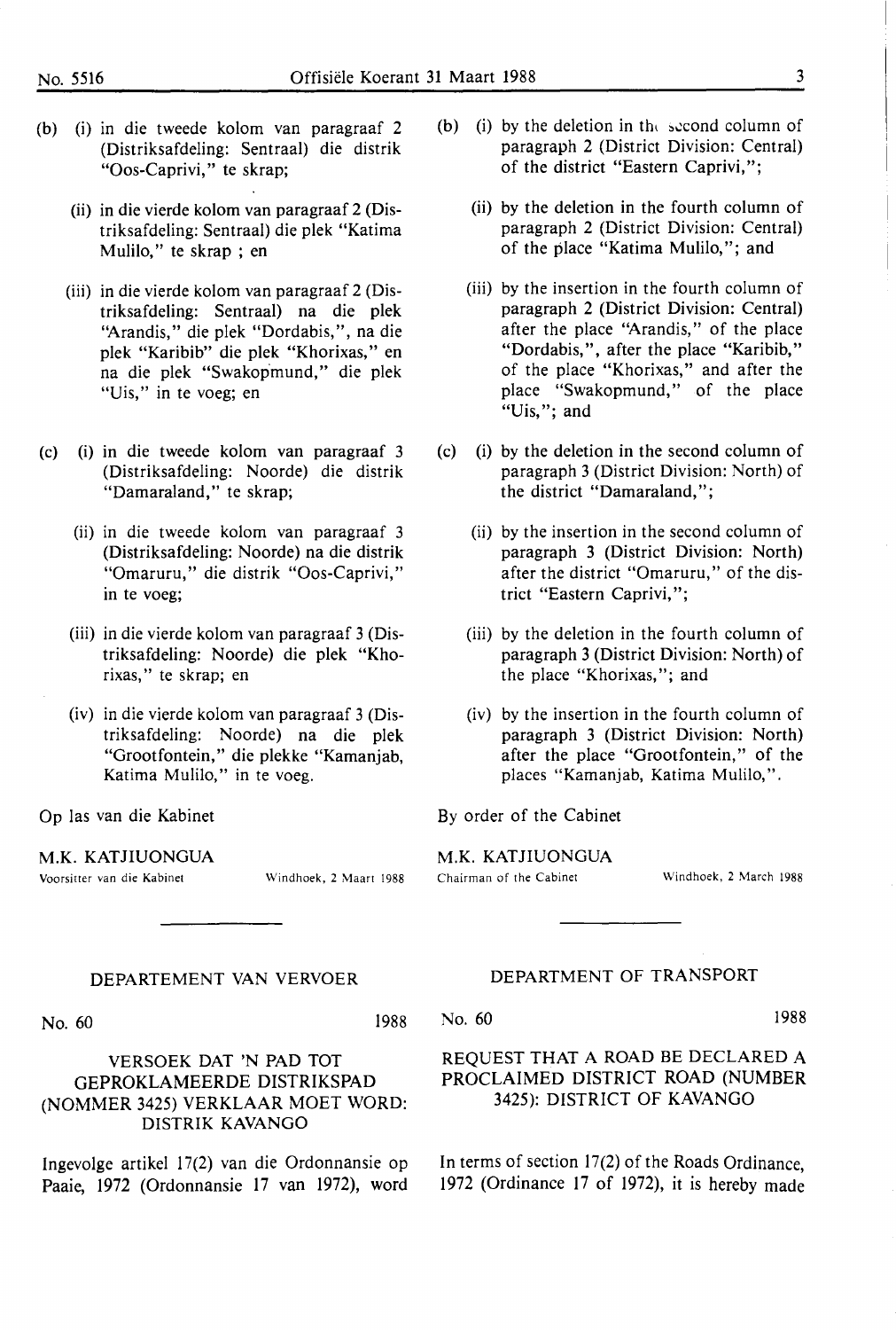- (b) (i) in die tweede kolom van paragraaf 2 (Distriksafdeling: Sentraal) die distrik "Oos-Caprivi," te skrap;
	- (ii) in die vierde kolom van paragraaf 2 (Distriksaf deling: Sentraal) die plek "Katima Mulilo," te skrap ; en
	- (iii) in die vierde kolom van paragraaf 2 (Distriksaf deling: Sentraal) na die plek ''Arandis," die plek "Dordabis,", na die plek "Karibib" die plek "Khorixas," en na die plek "Swakopmund," die plek "Uis," in te voeg; en
- (c) (i) in die tweede kolom van paragraaf 3 (Distriksafdeling: Noorde) die distrik "Damaraland," te skrap;
	- (ii) in die tweede kolom van paragraaf 3 (Distriksafdeling: Noorde) na die distrik "Omaruru," die distrik "Oos-Caprivi," in te voeg;
	- (iii) in die vierde kolom van paragraaf 3 (Distriksaf deling: Noorde) die plek "Khorixas," te skrap; en
	- (iv) in die vierde kolom van paragraaf 3 (Distriksafdeling: Noorde) na die plek "Grootfontein," die plekke "Kamaniab, Katima Mulilo," in te voeg.

Op las van die Kabinet

**M.K.** KATJIUONGUA

Voorsitter van die Kabinet Windhoek, 2 Maart 1988

### **DEPARTEMENT VAN VERVOER**

No. 60 1988

### **VERSOEK DAT 'N PAD TOT**  GEPROKLAMEERDE DISTRIKSPAD (NOMMER 3425) VERKLAAR MOET WORD: **DISTRIK KAVANGO**

lngevolge artikel 17(2) van die Ordonnansie op Paaie, 1972 (Ordonnansie 17 van 1972), word

- (b) (i) by the deletion in the second column of paragraph 2 (District Division: Central) of the district "Eastern Caprivi,";
	- (ii) by the deletion in the fourth column of paragraph 2 (District Division: Central) of the place "Katima Mulilo,"; and
	- (iii) by the insertion in the fourth column of paragraph 2 (District Division: Central) after the place "Arandis," of the place "Dordabis,", after the place "Karibib," of the place "Khorixas," and after the place "Swakopmund," of the place "Uis,"; and
- (c) (i) by the deletion in the second column of paragraph 3 (District Division: North) of the district "Damaraland,";
	- (ii) by the insertion in the second column of paragraph 3 (District Division: North) after the district "Omaruru," of the district "Eastern Caprivi,";
	- (iii) by the deletion in the fourth column of paragraph 3 (District Division: North) of the place "Khorixas,"; and
	- (iv) by the insertion in the fourth column of paragraph 3 (District Division: North) after the place "Grootfontein," of the places "Kamanjab, Katima Mulilo,".

By order of the Cabinet

**M.K. KATJIUONGUA**  Chairman of the Cabinet Windhoek, 2 March 1988

### DEPARTMENT OF TRANSPORT

No. 60 1988

### REQUEST **THAT A ROAD** BE DECLARED A PROCLAIMED DISTRICT ROAD (NUMBER 3425): DISTRICT OF KAVANGO

In terms of section 17(2) of the Roads Ordinance, 1972 (Ordinance 17 of 1972), it is hereby made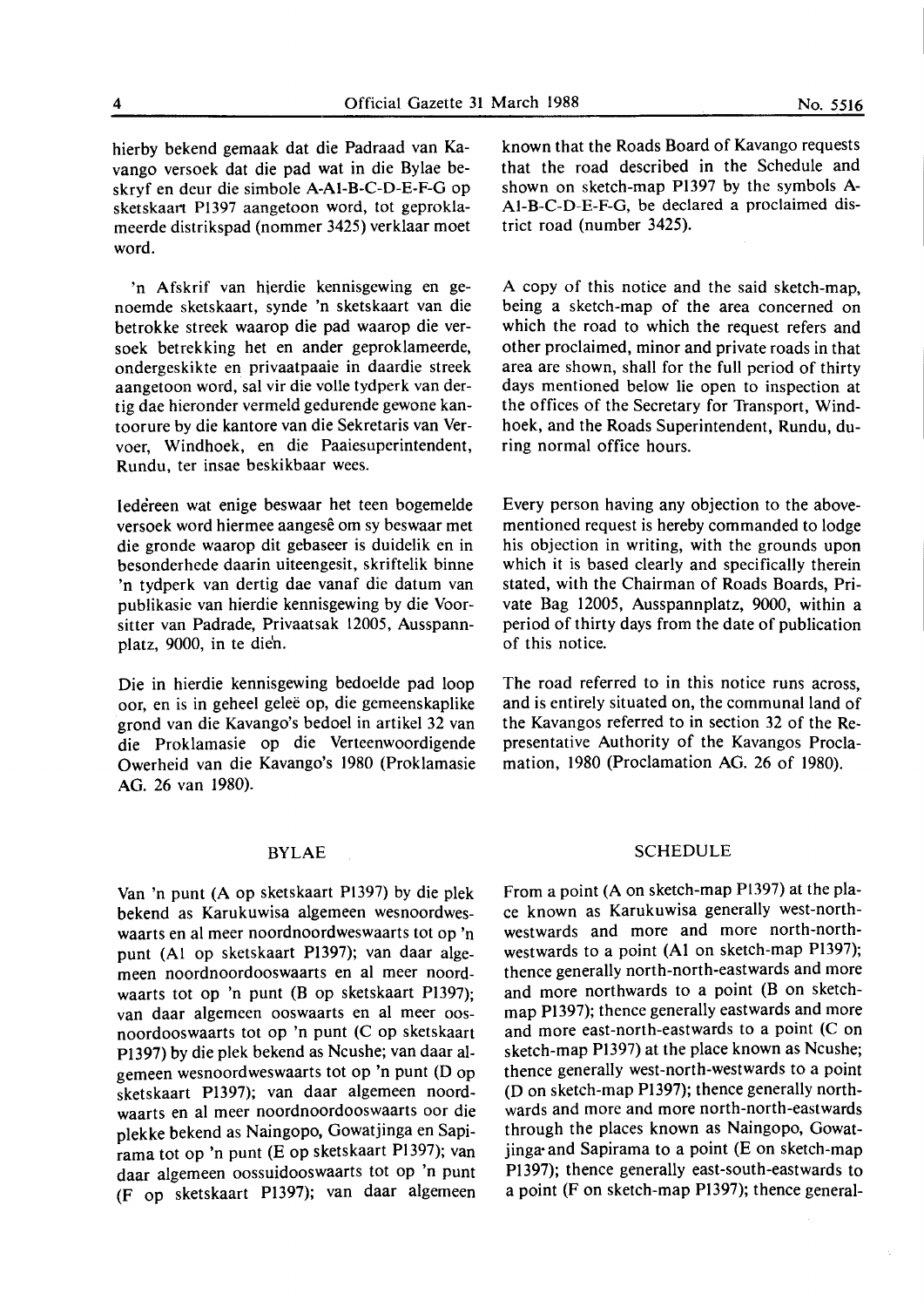hierby bekend gemaak dat die Padraad van Kavango versoek dat die pad wat in die Bylae beskryf en deur die simbole A-Al-B-C-D-E-F-G op sketskaart Pl397 aangetoon word, tot geproklameerde distrikspad (nommer 3425) verklaar moet word.

'n Afskrif van hierdie kennisgewing en genoemde sketskaart, synde 'n sketskaart van die betrokke streek waarop die pad waarop die versoek betrekking het en ander geproklameerde, ondergeskikte en privaatpaaie in daardie streek aangetoon word, sal vir die volle tydperk van dertig dae hieronder vermeld gedurende gewone kantoorure by die kantore van die Sekretaris van Vervoer, Windhoek, en die Paaiesuperintendent, **Rundu,** ter insae **beskikbaar wees.** 

Iedereen wat enige beswaar het teen bogemelde versoek word hiermee aangese om sy beswaar met die gronde waarop dit gebaseer is duidelik en in besonderhede daarin uiteengesit, skriftelik binne 'n tydperk van dertig dae vanaf die datum van publikasie van hierdie kennisgewing by die Voorsitter van Padrade, Privaatsak 12005, Ausspannplatz, 9000, in te die'n.

Die in hierdie kennisgewing bedoelde pad loop oor, en is in geheel gelee op, die gemeenskaplike grond van die Kavango's bedoel in artikel 32 van die Proklamasie op die Verteenwoordigende Owerheid van die Kavango's 1980 (Proklamasie AG. 26 van 1980).

### **BYLAE**

Van 'n punt (A op sketskaart Pl397) by die plek bekend as Karukuwisa algemeen wesnoordweswaarts en al meer noordnoordweswaarts tot op 'n punt (Al op sketskaart PI397); van daar algemeen noordnoordooswaarts en al meer noordwaarts tot op 'n punt (B op sketskaart Pl397); van daar algemeen ooswaarts en al meer oosnoordooswaarts tot op 'n punt (C op sketskaart Pl397) by die plek bekend as Ncushe; van daar algemeen wesnoordweswaarts tot op 'n punt (D op sketskaart Pl397); van daar algemeen noordwaarts en al meer noordnoordooswaarts oor die plekke bekend as Naingopo, Gowatjinga en Sapirama tot op 'n punt (E op sketskaart Pl397); van daar algemeen oossuidooswaarts tot op 'n punt (F op sketskaart P1397); van daar algemeen known that the Roads Board of Kavango requests that the road described in the Schedule and shown on sketch-map P1397 by the symbols A-Al-B-C-D-E-F-G, be declared a proclaimed district road (number 3425).

A copy of this notice and the said sketch-map, being a sketch-map of the area concerned on which the road to which the request refers and other proclaimed, minor and private roads in that area are shown, shall for the full period of thirty days mentioned below lie open to inspection at the offices of the Secretary for Transport, Windhoek, and the Roads Superintendent, Rundu, during normal office hours.

Every person having any objection to the abovementioned request is hereby commanded to lodge his objection in writing, with the grounds upon which it is based clearly and specifically therein stated, with the Chairman of Roads Boards, Private Bag 12005, Ausspannplatz, 9000, within a period of thirty days from the date of publication of this notice.

The road referred to in this notice runs across, and is entirely situated on, the communal land of the Kavangos referred to in section 32 of the Representative Authority of the Kavangos Proclamation, 1980 (Proclamation AG. 26 of 1980).

### **SCHEDULE**

From a point (A on sketch-map Pl397) at the place known as Karukuwisa generally west-northwestwards and more and more north-northwestwards to a point **(Al** on sketch-map Pl397); thence generally north-north-eastwards and more and more northwards to a point (B on sketchmap Pl397); thence generally eastwards and more and more east-north-eastwards to a point (C on sketch-map Pl397) at the place known as Ncushe; thence generally west-north-westwards to a point (D on sketch-map Pl 397); thence generally northwards and more and more north-north-eastwards through the places known as Naingopo, Gowatjinga· and Sapirama to a point (E on sketch-map Pl 397); thence generally east-south-eastwards to a point (F on sketch-map P1397); thence general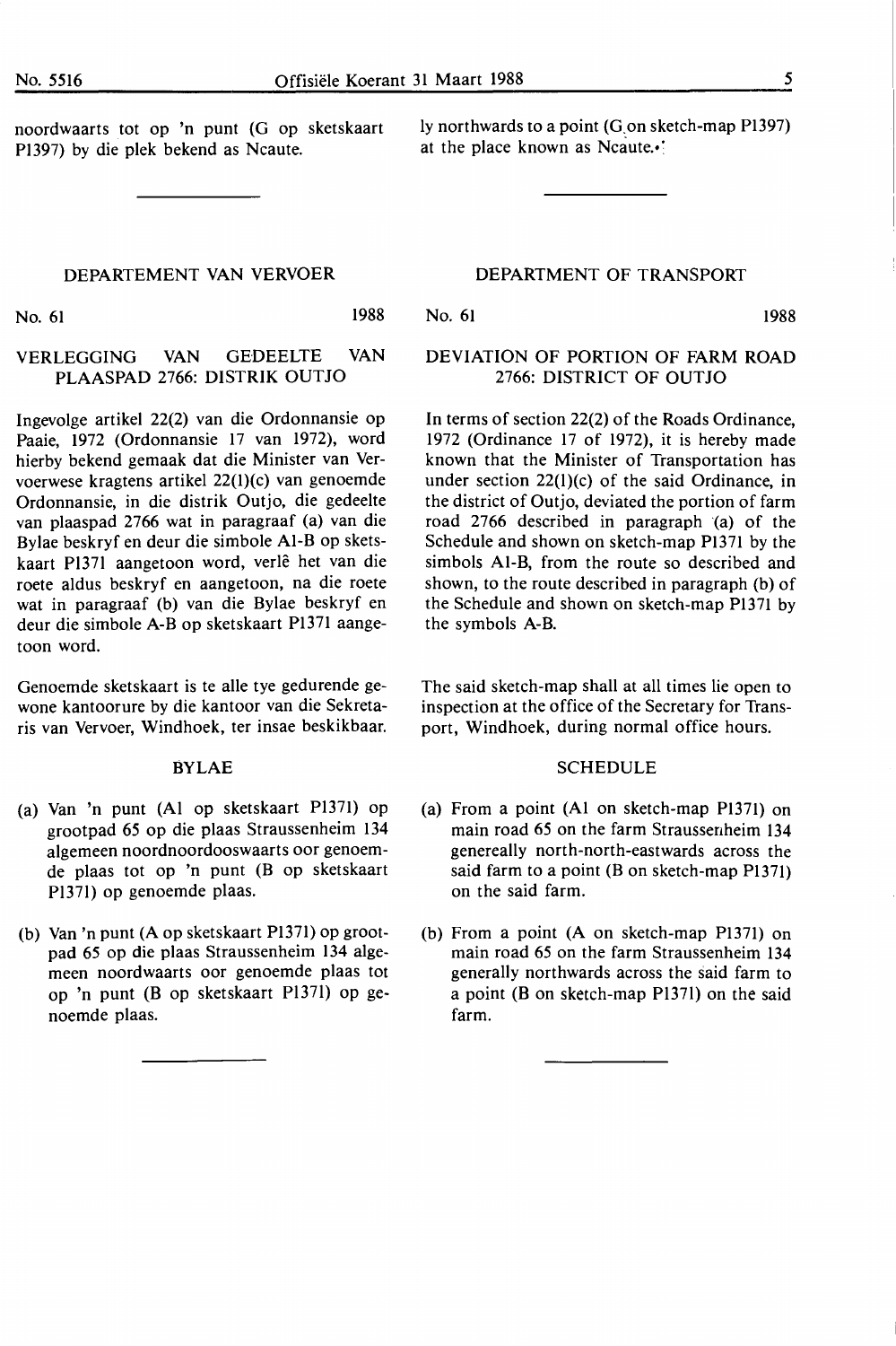noordwaarts tot op 'n punt (G op sketskaart Pl397) by die plek bekend as Ncaute.

ly northwards to a point (G.on sketch-map Pl397) at the place known as Ncaute.•

### DEPARTEMENT VAN VERVOER

No. 61 1988

### No. 61 1988

### DEVIATION OF PORTION OF FARM ROAD 2766: DISTRICT OF OUTJO

DEPARTMENT OF TRANSPORT

In terms of section 22(2) of the Roads Ordinance, 1972 (Ordinance 17 of 1972), it is hereby made known that the Minister of Transportation has under section 22(l)(c) of the said Ordinance, in the district of Outjo, deviated the portion of farm road 2766 described in paragraph (a) of the Schedule and shown on sketch-map Pl371 by the simbols Al-B, from the route so described and shown, to the route described in paragraph (b) of the Schedule and shown on sketch-map Pl371 by the symbols **A-B.** 

The said sketch-map shall at all times lie open to inspection at the office of the Secretary for Transport, Windhoek, during normal office hours.

### SCHEDULE

- (a) From a point (Al on sketch-map Pl371) on main road 65 on the farm Straussenheim 134 genereally north-north-eastwards across the said farm to a point (B on sketch-map P1371) on the said farm.
- (b) From a point (A on sketch-map Pl371) on main road 65 on the farm Straussenheim 134 generally northwards across the said farm to a point (B on sketch-map Pl37l) on the said farm.

## VERLEGGING VAN GEDEELTE VAN **PLAASPAD** 2766: **DISTRIK** OUTJO

Ingevolge artikel 22(2) van die Ordonnansie op Paaie, 1972 (Ordonnansie 17 van 1972), word hierby bekend gemaak dat die Minister van Vervoerwese kragtens artikel 22(l)(c) van genoemde Ordonnansie, in die distrik Outjo, die gedeelte van plaaspad 2766 wat in paragraaf (a) van die Bylae beskryf en deur die simbole Al-Bop sketskaart Pl37l aangetoon word, verle het van die roete aldus beskryf en aangetoon, na die roete wat in paragraaf (b) van die Bylae beskryf en deur die simbole A-Bop sketskaart Pl371 aangetoon word.

Genoemde sketskaart is te alle tye gedurende gewone kantoorure by die kantoor van die Sekretaris van Vervoer, Windhoek, ter insae beskikbaar.

### BYLAE

- (a) Van 'n punt (Al op sketskaart Pl371) op grootpad *65* op die plaas Straussenheim 134 algemeen noordnoordooswaarts oor genoemde plaas tot op 'n punt (B op sketskaart Pl37l) op genoemde plaas.
- (b) Van 'n punt (A op sketskaart Pl371) op grootpad 65 op die plaas Straussenheim 134 algemeen noordwaarts oor genoemde plaas tot op 'n punt (B op sketskaart Pl37l) op genoemde plaas.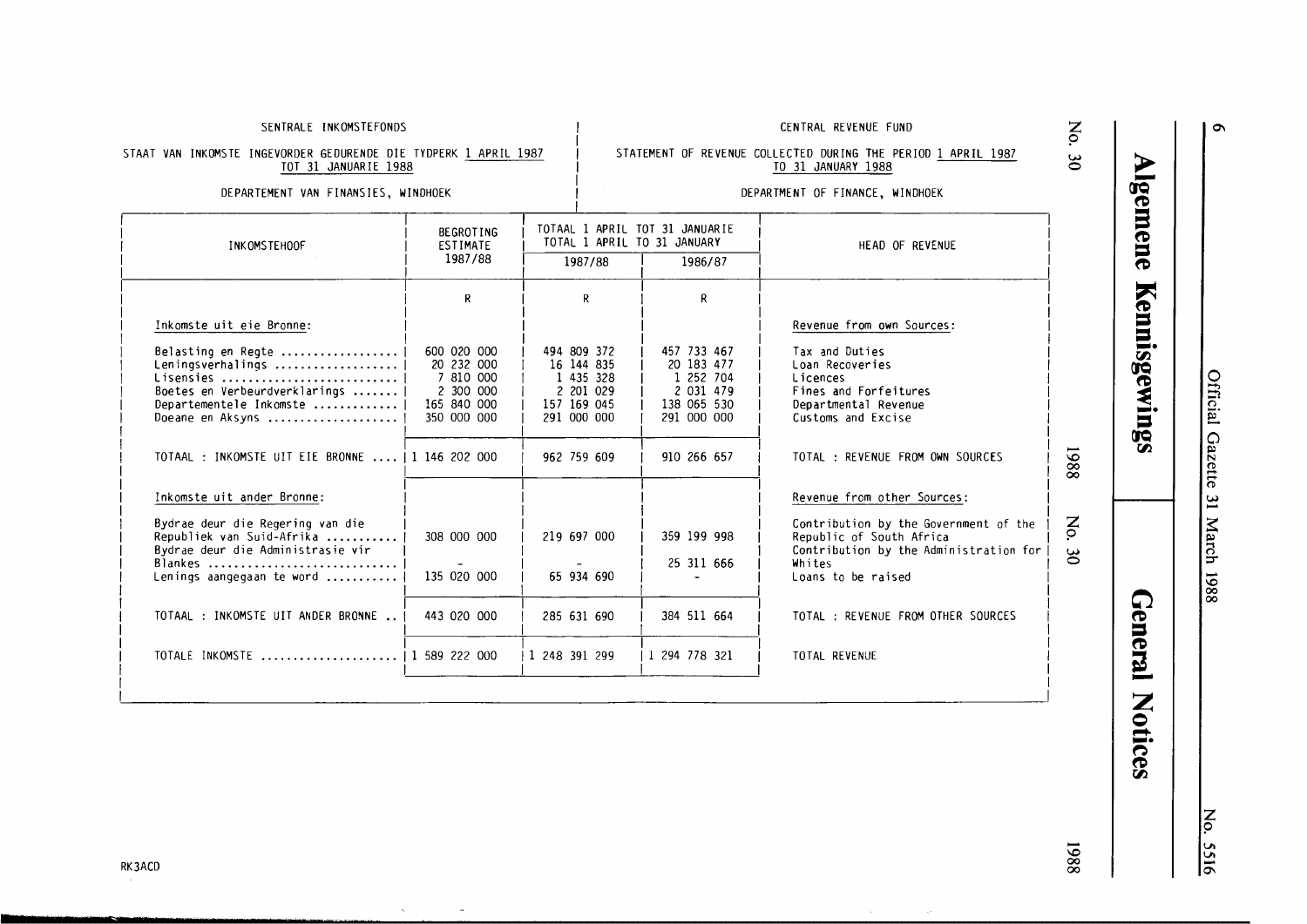**Gazette 3.<br>BS** l<br>
1988

# z p *V, V,*  0\ -

886I

### SENTRALE INKOMSTEFONDS

### STAAT VAN INKOMSTE INGEVORDER GEDURENDE DIE TYDPERK <u>1 APRIL 1987</u> TOT 31 JANUARIE 1988

### DEPARTEMENT VAN FINANSIES, WINDHOEK

### TO 31 JANUARY 1988 DEPARTMENT OF FINANCE, WINDHOEK

STATEMENT OF REVENUE COLLECTED DURING THE PERIOD 1 APRIL 1987

CENTRAL REVENUE FUND

| INK OMSTEHOOF                                                                                                                                 | <b>BEGROTING</b><br><b>ESTIMATE</b><br>1987/88                                    | TOTAAL 1 APRIL TOT 31 JANUARIE<br>TOTAL 1 APRIL TO 31 JANUARY<br>1987/88<br>1986/87 |                                                                                   | HEAD OF REVENUE                                                                                                                             |                          |
|-----------------------------------------------------------------------------------------------------------------------------------------------|-----------------------------------------------------------------------------------|-------------------------------------------------------------------------------------|-----------------------------------------------------------------------------------|---------------------------------------------------------------------------------------------------------------------------------------------|--------------------------|
|                                                                                                                                               | R                                                                                 | R                                                                                   | R                                                                                 |                                                                                                                                             |                          |
| Inkomste uit eie Bronne:                                                                                                                      |                                                                                   |                                                                                     |                                                                                   | Revenue from own Sources:                                                                                                                   |                          |
| Belasting en Regte<br>Leningsverhalings   <br>Lisensies<br>Boetes en Verbeurdverklarings   <br>Departementele Inkomste   <br>Doeane en Aksyns | 600 020 000<br>20 232 000<br>7 810 000<br>2 300 000<br>165 840 000<br>350 000 000 | 494 809 372<br>16 144 835<br>1 435 328<br>2 201 029<br>157 169 045<br>291 000 000   | 457 733 467<br>20 183 477<br>1 252 704<br>2 031 479<br>138 065 530<br>291 000 000 | Tax and Duties<br>Loan Recoveries<br>Licences<br>Fines and Forfeitures<br>Departmental Revenue<br>Customs and Excise                        |                          |
| TOTAAL : INKOMSTE UIT EIE BRONNE    1 146 202 000                                                                                             |                                                                                   | 962 759 609                                                                         | 910 266 657                                                                       | TOTAL : REVENUE FROM OWN SOURCES                                                                                                            | 8861                     |
| Inkomste uit ander Bronne:                                                                                                                    |                                                                                   |                                                                                     |                                                                                   | Revenue from other Sources:                                                                                                                 |                          |
| Bydrae deur die Regering van die<br>Republiek van Suid-Afrika<br>Bydrae deur die Administrasie vir<br>Blankes<br>Lenings aangegaan te word    | 308 000 000<br>135 020 000                                                        | 219 697 000<br>65 934 690                                                           | 359 199 998<br>25 311 666                                                         | Contribution by the Government of the<br>Republic of South Africa<br>Contribution by the Administration for<br>Whites<br>Loans to be raised | $\mathsf{S}$<br>$\infty$ |
| TOTAAL : INKOMSTE UIT ANDER BRONNE                                                                                                            | 443 020 000                                                                       | 285 631 690                                                                         | 384 511 664                                                                       | TOTAL : REVENUE FROM OTHER SOURCES                                                                                                          |                          |
| TOTALE INKOMSTE    1 589 222 000                                                                                                              |                                                                                   | 1 248 391 299                                                                       | 1 294 778 321                                                                     | TOTAL REVENUE                                                                                                                               |                          |
|                                                                                                                                               |                                                                                   |                                                                                     |                                                                                   |                                                                                                                                             |                          |

**Als (JQ** -**(0** 

**mene** 

 $\frac{1}{\sqrt{2}}$ **(JQ 00** -·

 $\lim_{\alpha \to 0} g_\alpha$ 

General

**Notices** 

**z**  *9*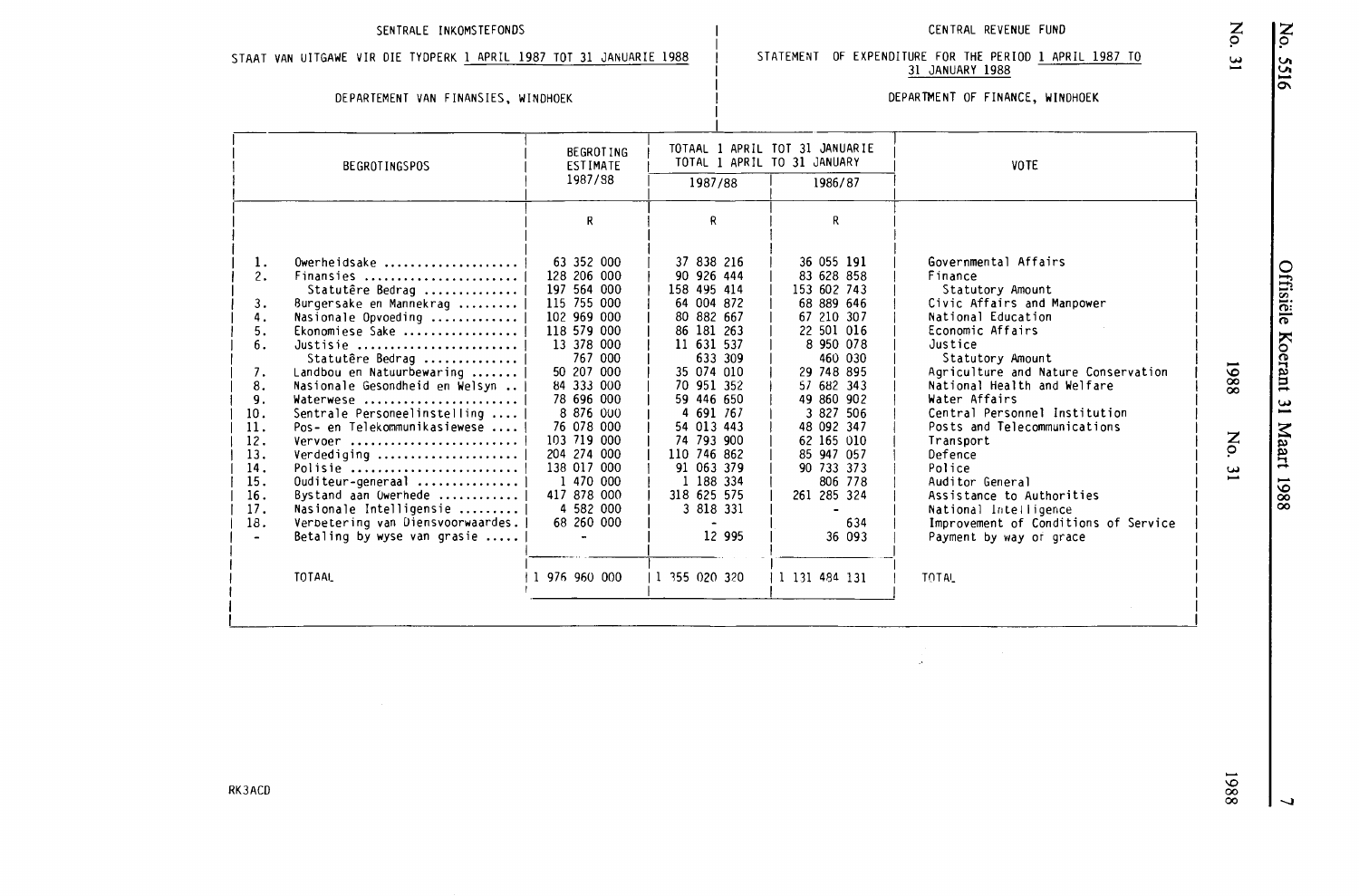### SENTRALE INKOMSTEFONDS CENTRAL REVENUE FUND

STAAT VAN UITGAWE VIR DIE TYDPERK 1 APRIL 1987 TOT 31 JANUARIE 1988

### DEPARTEMENT VAN FINANSIES, WINDHOEK

### DEPARTMENT OF FINANCE, WINDHOEK

STATEMENT OF EXPENDITURE FOR THE PERIOD 1 APRIL 1987 TO 31 JANUARY 1988

| <b>BEGROTINGSPOS</b>                                                                                                                                                                                                                                                                                                                                                                                                                                                                                                                                                     | <b>BEGROTING</b><br><b>ESTIMATE</b>                                                                                                                                                                                                                                                     | TOTAL 1 APRIL TO 31 JANUARY                                                                                                                                                                                                                                         | TOTAAL 1 APRIL TOT 31 JANUARIE                                                                                                                                                                                                                                                            | VOTE                                                                                                                                                                                                                                                                                                                                                                                                                                                                  |
|--------------------------------------------------------------------------------------------------------------------------------------------------------------------------------------------------------------------------------------------------------------------------------------------------------------------------------------------------------------------------------------------------------------------------------------------------------------------------------------------------------------------------------------------------------------------------|-----------------------------------------------------------------------------------------------------------------------------------------------------------------------------------------------------------------------------------------------------------------------------------------|---------------------------------------------------------------------------------------------------------------------------------------------------------------------------------------------------------------------------------------------------------------------|-------------------------------------------------------------------------------------------------------------------------------------------------------------------------------------------------------------------------------------------------------------------------------------------|-----------------------------------------------------------------------------------------------------------------------------------------------------------------------------------------------------------------------------------------------------------------------------------------------------------------------------------------------------------------------------------------------------------------------------------------------------------------------|
|                                                                                                                                                                                                                                                                                                                                                                                                                                                                                                                                                                          | 1987/88                                                                                                                                                                                                                                                                                 | 1987/88                                                                                                                                                                                                                                                             | 1986/87                                                                                                                                                                                                                                                                                   |                                                                                                                                                                                                                                                                                                                                                                                                                                                                       |
|                                                                                                                                                                                                                                                                                                                                                                                                                                                                                                                                                                          | R                                                                                                                                                                                                                                                                                       | R                                                                                                                                                                                                                                                                   | R.                                                                                                                                                                                                                                                                                        |                                                                                                                                                                                                                                                                                                                                                                                                                                                                       |
| 1.<br>$0$ werheidsake<br>2.<br>Finansies<br>Statutêre Bedrag<br>3.<br>Burgersake en Mannekrag<br>4.<br>Nasionale Opvoeding<br>5.<br>Ekonomiese Sake<br>6.<br>Justisie<br>Statutêre Bedrag<br>Landbou en Natuurbewaring<br>7.<br>8.<br>Nasionale Gesondheid en Welsyn<br>9.<br>Waterwese<br>Sentrale Personeelinstelling<br>10.<br>11.<br>Pos- en Telekommunikasiewese<br>12.<br>Vervoer<br>13.<br>Verdediging<br>14.<br>Polisie<br>15.<br>Ouditeur-generaal<br>16.<br>Bystand aan Owerhede<br>17.<br>Nasionale Intelligensie<br>18.<br>Verbetering van Diensvoorwaardes. | 63 352 000<br>128 206 000<br>197 564 000<br>115 755 000<br>102 969 000<br>118 579 000<br>13 378 000<br>767 000<br>50 207 000<br>84 333 000<br>78 696 000<br>8 876 000<br>76 078 000<br>103 719 000<br>204 274 000<br>138 017 000<br>1 470 000<br>417 878 000<br>4 582 000<br>68 260 000 | 37 838 216<br>90 926 444<br>158 495 414<br>64 004 872<br>80 882 667<br>86 181 263<br>11 631 537<br>633 309<br>35 074 010<br>70 951 352<br>59 446 650<br>4 691 767<br>54 013 443<br>74 793 900<br>110 746 862<br>91 063 379<br>1 188 334<br>318 625 575<br>3 818 331 | 36 055 191<br>83 628 858<br>153 602 743<br>68 889 646<br>67 210 307<br>22 501 016<br>8 950 078<br>460 030<br>29 748 895<br>57 682 343<br>49 860 902<br>3 827 506<br>48 092 347<br>62 165 010<br>85 947 057<br>90 733 373<br>806 778<br>261 285 324<br>$\qquad \qquad \blacksquare$<br>634 | Governmental Affairs<br>Finance<br>Statutory Amount<br>Civic Affairs and Manpower<br>National Education<br>Economic Affairs<br>Justice<br>Statutory Amount<br>Agriculture and Nature Conservation<br>National Health and Welfare<br>Water Affairs<br>Central Personnel Institution<br>Posts and Telecommunications<br>Transport<br>Defence<br>Police<br>Auditor General<br>Assistance to Authorities<br>National Intelligence<br>Improvement of Conditions of Service |
| Betaling by wyse van grasie $\ldots$ .<br><b>TOTAAL</b>                                                                                                                                                                                                                                                                                                                                                                                                                                                                                                                  | 1 976 960 000                                                                                                                                                                                                                                                                           | 12 995<br>1 355 020 320                                                                                                                                                                                                                                             | 36 093<br>1 131 484 131                                                                                                                                                                                                                                                                   | Payment by way or grace<br>TOTAL                                                                                                                                                                                                                                                                                                                                                                                                                                      |

z *9*  w

 $1988$ 

z *9* 

**w**  -

 $\overline{\phantom{0}}$ 

 $1988$ 

**RK3ACD**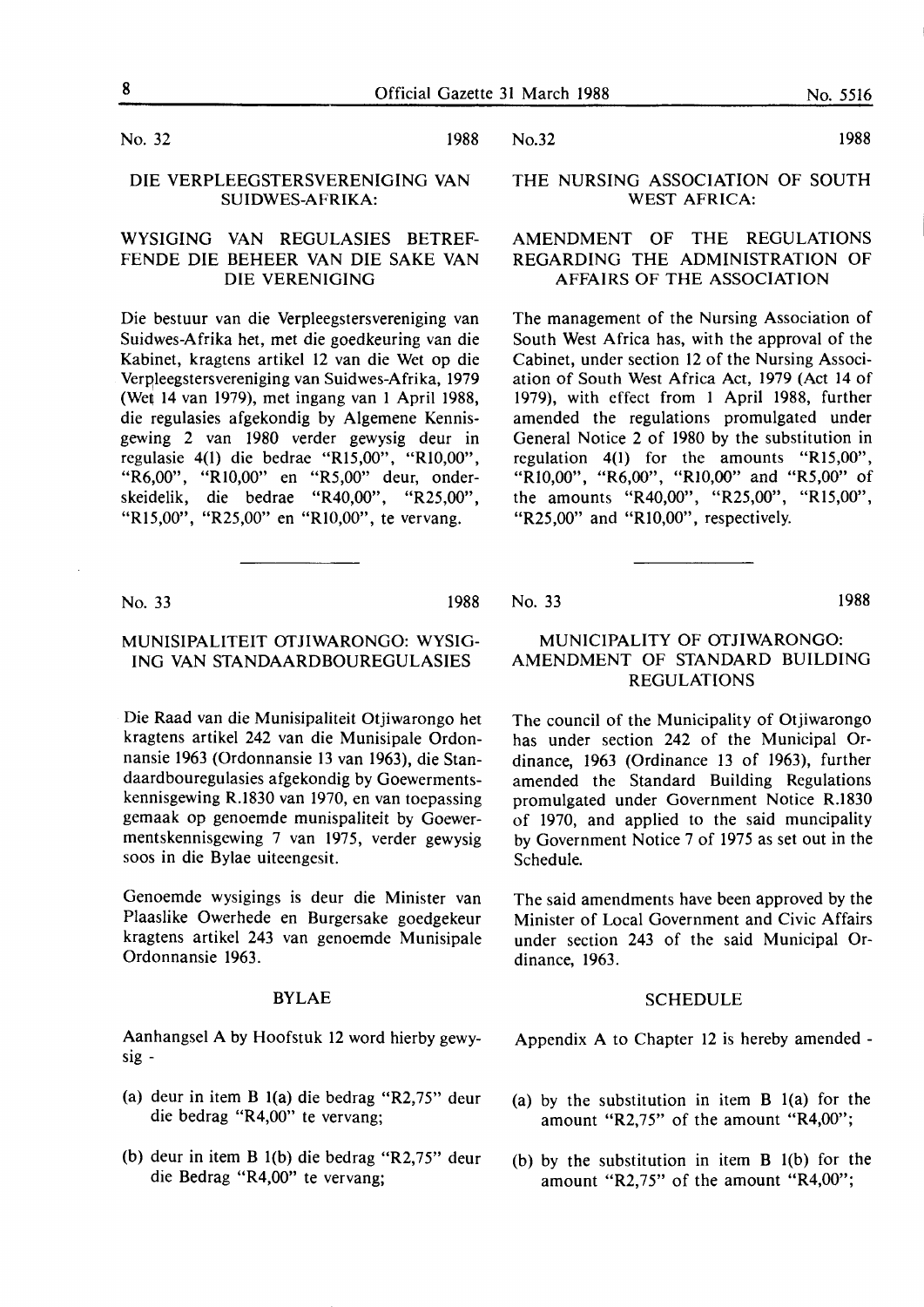No. 32 1988

### DIE VERPLEEGSTERSVERENIGING VAN SUIDWES-AFRIKA:

### WYSIGING VAN REGULASIES BETREF-FENDE DIE BEHEER VAN DIE SAKE VAN DIE VERENIGING

Die bestuur van die Verpleegstersvereniging van Suidwes-Afrika het, met die goedkeuring van die Kabinet, kragtens artikel 12 van die Wet op die Verpleegstersvereniging van Suidwes-Afrika, 1979 (Wet 14 van 1979), met ingang van 1 April 1988, die regulasies afgekondig by Algemene Kennisgewing 2 van 1980 verder gewysig deur in regulasie 4(1) die bedrae "Rl5,00", "RI0,00", "R6,00", "RI0,00" en "R5,00" deur, onderskeidelik, die bedrae "R40,00", "R25,00", "Rl5,00", "R25,00" en "RI0,00", te vervang.

No. 33 1988

### **MUNISIPALITEIT OTJIWARONGO: WYSIG-ING VAN STANDAARDBOUREGULASIES**

Die Raad van die Munisipaliteit Otjiwarongo het kragtens artikel 242 van die Munisipale Ordonnansie 1963 (Ordonnansie 13 van 1963), die Standaardbouregulasies afgekondig by Goewermentskennisgewing R.1830 van 1970, en van toepassing gemaak op genoemde munispaliteit by Goewermentskennisgewing 7 van 1975, verder gewysig soos in die Bylae uiteengesit.

Genoemde wysigings is deur die Minister van Plaaslike Owerhede en Burgersake goedgekeur kragtens artikel 243 van genoemde Munisipale Ordonnansie 1963.

### BYLAE

Aanhangsel A by Hoofstuk 12 word hierby gewysig -

- (a) deur in item B l(a) die bedrag "R2,75" deur die bedrag "R4,00" te vervang;
- (b) deur in item B l(b) die bedrag "R2,75" deur die Bedrag "R4,00" te vervang;

No.32 1988

### **THE NURSING ASSOCIATION OF SOUTH WEST AFRICA:**

### **AMENDMENT** OF THE **REGULATIONS REGARDING THE ADMINISTRATION OF AFFAIRS OF THE ASSOCIATION**

The management of the Nursing Association of South West Africa has, with the approval of the Cabinet, under section 12 of the Nursing Association of South West Africa Act, 1979 (Act 14 of 1979), with effect from 1 April 1988, further amended the regulations promulgated under General Notice 2 of 1980 by the substitution in regulation 4(1) for the amounts "Rl5,00", "RI0,00", "R6,00", "Rl0,00" and "R5,00" of the amounts "R40,00", "R25,00", "Rl5,00", "R25,00" and "R10,00", respectively.

No. 33 1988

### MUNICIPALITY OF OTJIWARONGO: AMENDMENT OF STANDARD BUILDING REGULATIONS

The council of the Municipality of Otjiwarongo has under section 242 of the Municipal Ordinance, 1963 (Ordinance 13 of 1963), further amended the Standard Building Regulations promulgated under Government Notice R.1830 of 1970, and applied to the said muncipality by Government Notice 7 of 1975 as set out in the Schedule.

The said amendments have been approved by the Minister of Local Government and Civic Affairs under section 243 of the said Municipal Ordinance, 1963.

### **SCHEDULE**

Appendix A to Chapter 12 is hereby amended -

- (a) by the substitution in item B l(a) for the amount "R2,75" of the amount "R4,00";
- (b) by the substitution in item B l(b) for the amount "R2,75" of the amount "R4,00";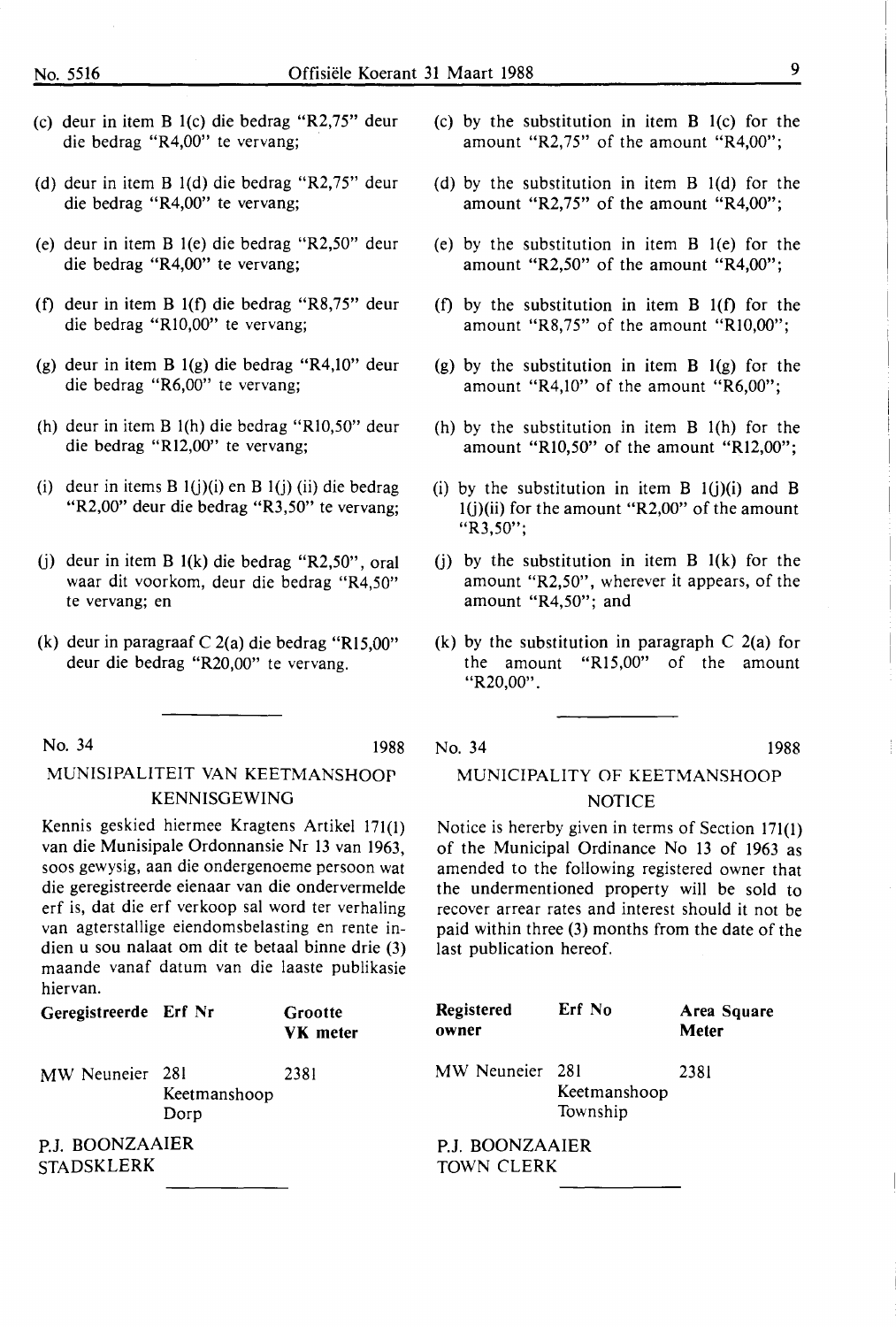- (c) deur in item B l(c) die bedrag "R2,75" deur die bedrag "R4,00" te vervang;
- (d) deur in item B l(d) die bedrag "R2,75" deur die bedrag "R4,00" te vervang;
- (e) deur in item B l(e) die bedrag "R2,50" deur die bedrag "R4,00" te vervang;
- (f) deur in item B l(f) die bedrag "R8,75" deur die bedrag "Rl0,00" te vervang;
- (g) deur in item B l(g) die bedrag "R4,10" deur die bedrag "R6,00" te vervang;
- (h) deur in item B l(h) die bedrag "Rl0,50" deur die bedrag "Rl2,00" te vervang;
- (i) deur in items B  $1(j)(i)$  en B  $1(j)$  (ii) die bedrag "R2,00" deur die bedrag "R3,50" te vervang;
- (j) deur in item B l(k) die bedrag "R2,50", oral waar dit voorkom, deur die bedrag "R4,50" te vervang; en
- (k) deur in paragraaf C 2(a) die bedrag "Rl5,00" deur die bedrag "R20,00" te vervang.

No. 34 1988

## MUNISIPALITEIT VAN KEETMANSHOOP KENNISGEWING

Kennis geskied hiermee Kragtens Artikel 171(1) van die Munisipale Ordonnansie Nr 13 van 1963, soos gewysig, aan die ondergenoeme persoon wat die geregistreerde eienaar van die ondervermelde erf is, dat die erf verkoop sal word ter verhaling van agterstallige eiendomsbelasting en rente indien u sou nalaat om dit te betaal binne drie (3) maande vanaf datum van die laaste publikasie hiervan.

| Geregistreerde Erf Nr    |                      | Grootte<br><b>VK</b> meter |
|--------------------------|----------------------|----------------------------|
| MW Neuneier 281          | Keetmanshoop<br>Dorp | 2381                       |
| <b>ROONZAAIER</b><br>D I |                      |                            |

P.J. BOONZAAIE STADSKLERK

- (c) by the substitution in item B l(c) for the amount "R2,75" of the amount "R4,00";
- (d) by the substitution in item B l(d) for the amount "R2,75" of the amount "R4,00";
- (e) by the substitution in item B l(e) for the amount "R2,50" of the amount "R4,00";
- (f) by the substitution in item B l(f) for the amount "R8,75" of the amount "Rl0,00";
- (g) by the substitution in item  $B_1(g)$  for the amount "R4,10" of the amount "R6,00";
- (h) by the substitution in item B l(h) for the amount "Rl0,50" of the amount "R12,00";
- (i) by the substitution in item  $B_1(j)(i)$  and  $B_2$  $l(j)(ii)$  for the amount "R2,00" of the amount "R3,50";
- (i) by the substitution in item  $B_1(k)$  for the amount "R2,50", wherever it appears, of the amount "R4,50"; and
- (k) by the substitution in paragraph  $C$  2(a) for the amount "R15,00" of the amount "R20,00".

No. 34 1988

### MUNICIPALITY OF KEETMANSHOOP NOTICE

Notice is hererby given in terms of Section 171(1) of the Municipal Ordinance No 13 of 1963 as amended to the following registered owner that the undermentioned property will be sold to recover arrear rates and interest should it not be paid within three (3) months from the date of the last publication hereof.

| Registered<br>owner                  | Erf No                   | Area Square<br>Meter |  |  |
|--------------------------------------|--------------------------|----------------------|--|--|
| MW Neuneier 281                      | Keetmanshoop<br>Township | 2381                 |  |  |
| P.J. BOONZAAIER<br><b>TOWN CLERK</b> |                          |                      |  |  |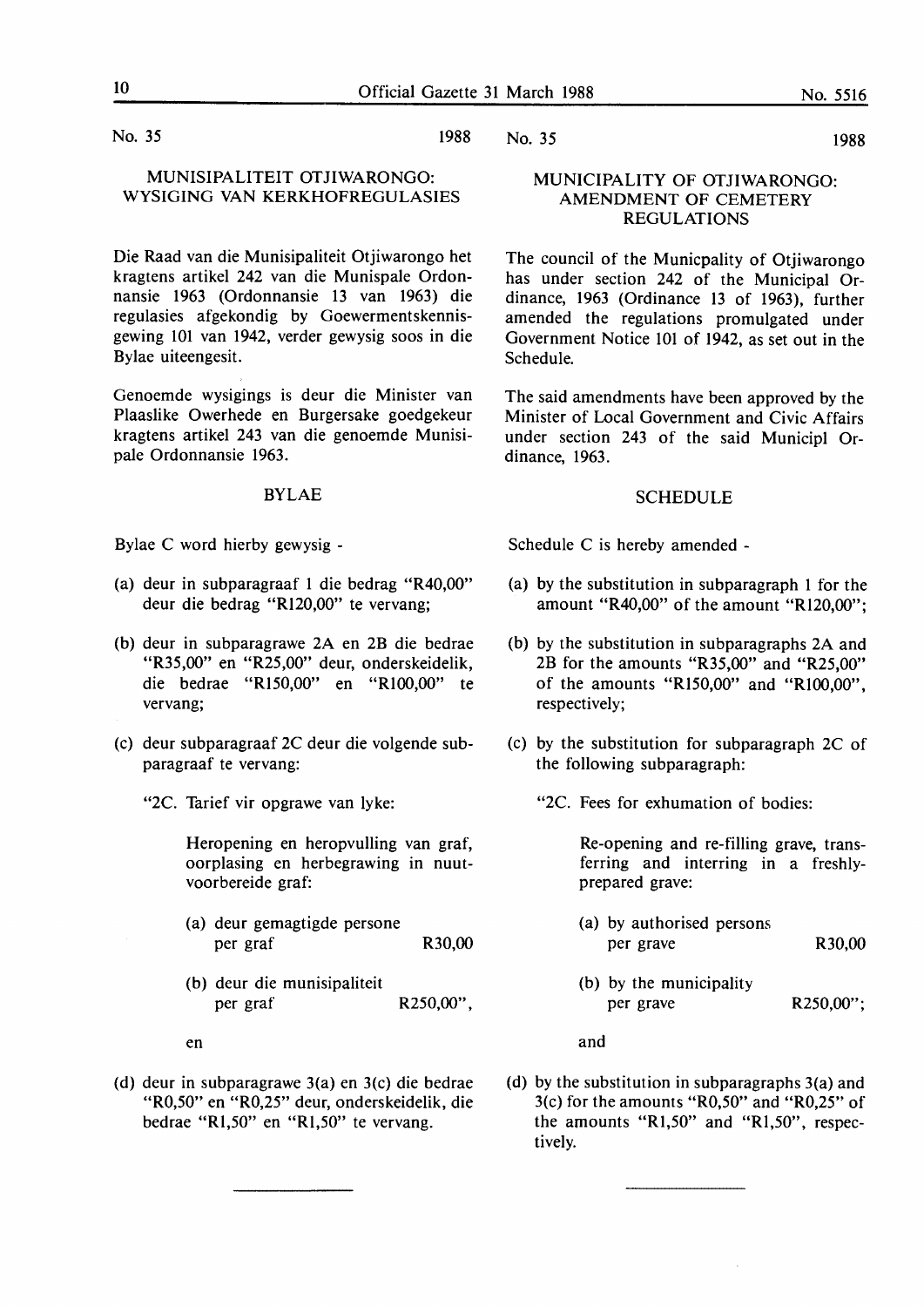No. 35 1988

### MUNISIPALITEIT OTJIWARONGO: **WYSIGING VAN KERKHOFREGULASIES**

Die Raad van die Munisipaliteit Otjiwarongo het kragtens artikel 242 van die Munispale Ordonnansie 1963 (Ordonnansie 13 van 1963) die regulasies afgekondig by Goewermentskennisgewing 101 van 1942, verder gewysig soos in die Bylae uiteengesit.

Genoemde wysigings is deur die Minister van Plaaslike Owerhede en Burgersake goedgekeur kragtens artikel 243 van die genoemde Munisipale Ordonnansie 1963.

### BYLAE

Bylae C word hierby gewysig -

- (a) deur in subparagraaf 1 die bedrag "R40,00" deur die bedrag "Rl20,00" te vervang;
- (b) deur in subparagrawe 2A en 2B die bedrae "R35,00" en "R25,00" deur, onderskeidelik, die bedrae "RI50,00" en "RI00,00" te vervang;
- (c) deur subparagraaf 2C deur die volgende subparagraaf te vervang:
	- "2C. Tarief vir opgrawe van lyke:

Heropening en heropvulling van graf, oorplasing en herbegrawing in nuutvoorbereide graf:

- (a) deur gemagtigde persone per graf R30,00
- (b) deur die munisipaliteit per graf R250,00",

en

(d) deur in subparagrawe 3(a) en 3(c) die bedrae "R0,50" en "R0,25" deur, onderskeidelik, die bedrae "Rl,50" en "Rl,50" te vervang.

No. 35 1988

### **MUNICIPALITY** OF **OTJIWARONGO: AMENDMENT OF CEMETERY REGULATIONS**

The council of the Municpality of Otjiwarongo has under section 242 of the Municipal Ordinance, 1963 (Ordinance 13 of 1963), further amended the regulations promulgated under Government Notice 101 of 1942, as set out in the Schedule.

The said amendments have been approved by the Minister of Local Government and Civic Affairs under section 243 of the said Municipl Ordinance, 1963.

### SCHEDULE

Schedule C is hereby amended -

- (a) by the substitution in subparagraph 1 for the amount **"R40,00"** of the amount **"Rl20,00";**
- (b) by the substitution in subparagraphs 2A and 2B for the amounts "R35,00" and "R25,00" of the amounts "Rl50,00" and "RI00,00", respectively;
- (c) by the substitution for subparagraph 2C of the following subparagraph:

"2C. Fees for exhumation of bodies:

Re-opening and re-filling grave, transferring and interring in a freshlyprepared grave:

- (a) by authorised persons per grave R30,00
- (b) by the municipality per grave R250,00";

and

(d) by the substitution in subparagraphs  $3(a)$  and 3(c) for the amounts "R0,50" and "R0,25" of the amounts "Rl,50" and "Rl,50", respectively.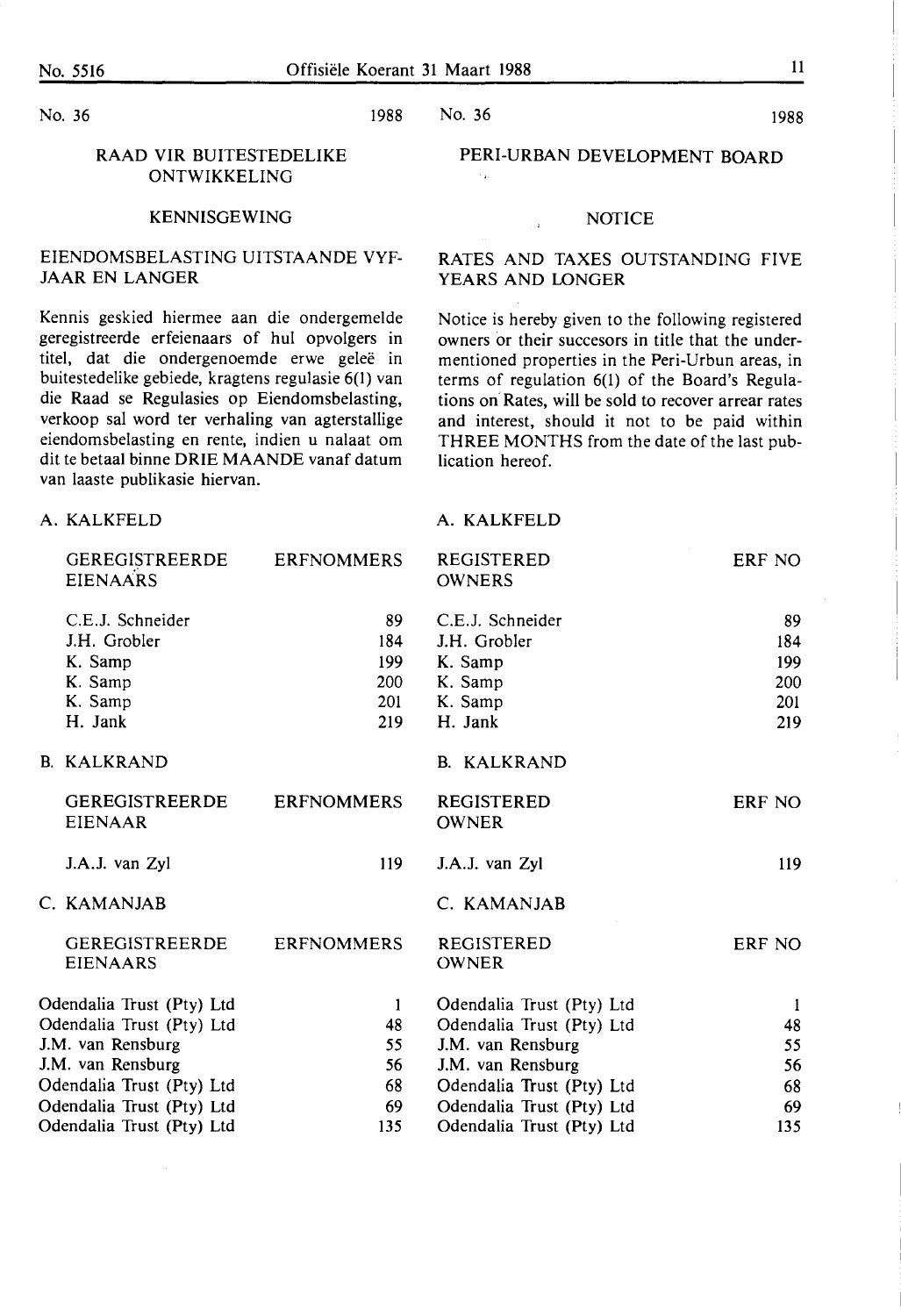No. 36 1988

**A. KALKFELD** 

## No. 36 1988

### RAAD VIR BUITESTEDELIKE ONTWIKKELING

### KENNISGEWING

### EIENDOMSBELASTING UITSTAANDE VYF-JAAR EN LANGER

Kennis geskied hiermee aan die ondergemelde geregistreerde erfeienaars of hul opvolgers in titel, dat die ondergenoemde erwe geleë in buitestedelike gebiede, kragtens regulasie 6(1) van die Raad se Regulasies op Eiendomsbelasting, verkoop sal word ter verhaling van agterstallige eiendomsbelasting en rente, indien u nalaat om dit te betaal binne **ORIE MAANDE** vanaf datum van laaste publikasie hiervan.

### PERI-URBAN DEVELOPMENT BOARD

### **NOTICE**

 $\mathbb{R}$ 

### RATES AND TAXES OUTSTANDING FIVE **YEARS AND LONGER**

Notice is hereby given to the following registered owners or their succesors in title that the undermentioned properties in the Peri-Urbun areas, in terms of regulation 6(1) of the Board's Regulations on Rates, will be sold to recover arrear rates and interest, should it not to be paid within THREE MONTHS from the date of the last publication hereof.

### A. KALKFELD

| <b>GEREGISTREERDE</b><br><b>EIENAARS</b> | <b>ERFNOMMERS</b> | <b>REGISTERED</b><br><b>OWNERS</b> | ERF NO       |
|------------------------------------------|-------------------|------------------------------------|--------------|
| C.E.J. Schneider                         | 89                | C.E.J. Schneider                   | 89           |
| J.H. Grobler                             | 184               | J.H. Grobler                       | 184          |
| K. Samp                                  | 199               | K. Samp                            | 199          |
| K. Samp                                  | 200               | K. Samp                            | 200          |
| K. Samp                                  | 201               | K. Samp                            | 201          |
| H. Jank                                  | 219               | H. Jank                            | 219          |
| B. KALKRAND                              |                   | B. KALKRAND                        |              |
| <b>GEREGISTREERDE</b><br><b>EIENAAR</b>  | <b>ERFNOMMERS</b> | <b>REGISTERED</b><br><b>OWNER</b>  | ERF NO       |
| J.A.J. van Zyl                           | 119               | J.A.J. van Zyl                     | 119          |
| C. KAMANJAB                              |                   | C. KAMANJAB                        |              |
| <b>GEREGISTREERDE</b><br><b>EIENAARS</b> | <b>ERFNOMMERS</b> | <b>REGISTERED</b><br><b>OWNER</b>  | ERF NO       |
| Odendalia Trust (Pty) Ltd                | -1                | Odendalia Trust (Pty) Ltd          | $\mathbf{I}$ |
| Odendalia Trust (Pty) Ltd                | 48                | Odendalia Trust (Pty) Ltd          | 48           |
| J.M. van Rensburg                        | 55                | J.M. van Rensburg                  | 55           |
| J.M. van Rensburg                        | 56                | J.M. van Rensburg                  | 56           |
| Odendalia Trust (Pty) Ltd                | 68                | Odendalia Trust (Pty) Ltd          | 68           |
| Odendalia Trust (Pty) Ltd                | 69                | Odendalia Trust (Pty) Ltd          | 69           |
| Odendalia Trust (Pty) Ltd                | 135               | Odendalia Trust (Pty) Ltd          | 135          |